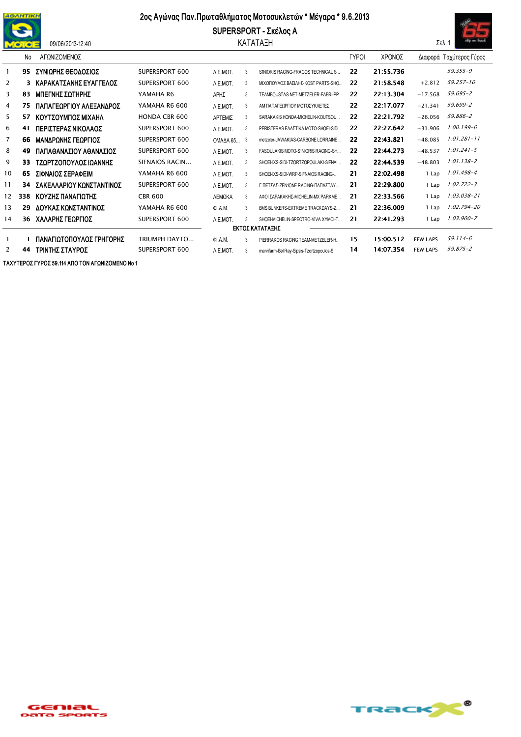

09/06/2013-12:40

## 2ος Αγώνας Παν. Πρωταθλήματος Μοτοσυκλετών \* Μέγαρα \* 9.6.2013

SUPERSPORT - Σκέλος Α ΚΑΤΑΤΑΞΗ



|                   | No. | ΑΓΩΝΙΖΟΜΕΝΟΣ             |                      |               |   |                                          | <b>TYPOI</b> | ΧΡΟΝΟΣ    |                 | Διαφορά Ταχύτερος Γύρος |  |  |
|-------------------|-----|--------------------------|----------------------|---------------|---|------------------------------------------|--------------|-----------|-----------------|-------------------------|--|--|
|                   | 95  | ΣΥΝΙΩΡΗΣ ΘΕΟΔΟΣΙΟΣ       | SUPERSPORT 600       | A.E.MOT.      | 3 | S1NIORIS RACING-FRAGOS TECHNICAL S       | 22           | 21:55.736 |                 | 59.355-9                |  |  |
| 2                 | 3   | ΚΑΡΑΚΑΤΣΑΝΗΣ ΕΥΑΓΓΕΛΟΣ   | SUPERSPORT 600       | A.E.MOT.      | 3 | ΜΙΧΟΠΟΥΛΟΣ ΒΑΣΙΛΗΣ-ΚΟST PARTS-SHO        | 22           | 21:58.548 | $+2.812$        | 59.257-10               |  |  |
| 3                 | 83  | ΜΠΕΓΝΗΣ ΣΩΤΗΡΗΣ          | YAMAHA R6            | ΑΡΗΣ          | 3 | TEAMBOUSTAS.NET-METZELER-FABRI-PP        | 22           | 22:13.304 | $+17.568$       | 59.695-2                |  |  |
| 4                 | 75  | ΠΑΠΑΓΕΩΡΓΙΟΥ ΑΛΕΞΑΝΔΡΟΣ  | YAMAHA R6 600        | A.E.MOT.      | 3 | ΑΜ ΠΑΠΑΓΕΟΡΓΙΟΥ ΜΟΤΟΣΥΚΛΕΤΕΣ             | 22           | 22:17.077 | $+21.341$       | 59.699-2                |  |  |
| 5                 | 57  | ΚΟΥΤΣΟΥΜΠΟΣ ΜΙΧΑΗΛ       | <b>HONDA CBR 600</b> | ΑΡΤΕΜΙΣ       | 3 | SARAKAKIS HONDA-MICHELIN-KOUTSOU         | 22           | 22:21.792 | $+26.056$       | 59.886-2                |  |  |
| 6                 | 41  | ΠΕΡΙΣΤΕΡΑΣ ΝΙΚΟΛΑΟΣ      | SUPERSPORT 600       | A.E.MOT.      | 3 | PERISTERAS ΕΛΑΣΤΙΚΑ ΜΟΤΟ-SHOEI-SIDI      | 22           | 22:27.642 | $+31.906$       | $1:00.199 - 6$          |  |  |
| $\overline{7}$    | 66  | ΜΑΝΔΡΩΝΗΣ ΓΕΩΡΓΙΟΣ       | SUPERSPORT 600       | OMAAA 65 3    |   | metzeler-JAWAKIAS-CARBONE LORRAINE       | 22           | 22:43.821 | $+48.085$       | $1:01.281 - 11$         |  |  |
| 8                 | 49  | ΠΑΠΑΘΑΝΑΣΙΟΥ ΑΘΑΝΑΣΙΟΣ   | SUPERSPORT 600       | A.E.MOT.      | 3 | FASOULAKIS MOTO-S1NIORIS RACING-SH       | 22           | 22:44.273 | $+48.537$       | $1:01.241 - 5$          |  |  |
| 9                 | 33  | ΤΖΩΡΤΖΟΠΟΥΛΟΣ ΙΩΑΝΝΗΣ    | SIFNAIOS RACIN       | A.E.MOT.      | 3 | SHOEI-IXS-SIDI-TZORTZOPOULAKI-SIFNAI     | 22           | 22:44.539 | $+48.803$       | $1:01.138 - 2$          |  |  |
| 10                | 65  | ΣΙΦΝΑΙΟΣ ΣΕΡΑΦΕΙΜ        | YAMAHA R6 600        | A.E.MOT.      | 3 | SHOEI-IXS-SIDI-WRP-SIFNAIOS RACING-      | 21           | 22:02.498 | 1 Lap           | $1:01.498 - 4$          |  |  |
| 11                | 34  | ΣΑΚΕΛΛΑΡΙΟΥ ΚΩΝΣΤΑΝΤΙΝΟΣ | SUPERSPORT 600       | A.E.MOT.      | 3 | Γ.ΠΕΤΣΑΣ-ΖΕΝ1ΟΝΕ RACING-ΠΑΠΑΣΤΑΥ         | 21           | 22:29.800 | 1 Lap           | $1:02.722 - 3$          |  |  |
| $12 \overline{ }$ | 338 | ΚΟΥΖΗΣ ΠΑΝΑΓΙΩΤΗΣ        | <b>CBR 600</b>       | <b>ЛЕМОКА</b> | 3 | ΑΦΟΙ ΣΑΡΑΚΑΚΗΣ-ΜΙΟΗΕLΙΝ-ΜΧ ΡΑRΚΜΕ        | 21           | 22:33.566 | 1 Lap           | $1:03.038 - 21$         |  |  |
| 13                | 29  | ΔΟΥΚΑΣ ΚΩΝΣΤΑΝΤΙΝΟΣ      | YAMAHA R6 600        | QI.A.M.       | 3 | BMS BUNKERS-EXTREME TRACKDAYS-Z          | 21           | 22:36.009 | 1 Lap           | $1:02.794 - 20$         |  |  |
| 14                | 36  | ΧΑΛΑΡΗΣ ΓΕΩΡΓΙΟΣ         | SUPERSPORT 600       | A.E.MOT.      | 3 | SHOEI-MICHELIN-SPECTRO-VIVA XYMOI-T      | 21           | 22:41.293 | 1 Lap           | $1:03.900 - 7$          |  |  |
| ΕΚΤΟΣ ΚΑΤΑΤΑΞΗΣ   |     |                          |                      |               |   |                                          |              |           |                 |                         |  |  |
|                   |     | ΠΑΝΑΓΙΩΤΟΠΟΥΛΟΣ ΓΡΗΓΟΡΗΣ | TRIUMPH DAYTO        | QI.A.M.       | 3 | PIERRAKOS RACING TEAM-METZELER-H         | 15           | 15:00.512 | <b>FEW LAPS</b> | $59.114 - 6$            |  |  |
| 2                 | 44  | ΤΡΙΝΤΗΣ ΣΤΑΥΡΟΣ          | SUPERSPORT 600       | A.E.MOT.      |   | marvifarm-Bel Rav-Sipsis-Tzortzopoulos-S | 14           | 14:07.354 | <b>FEW LAPS</b> | 59.875-2                |  |  |

ΤΑΧΥΤΕΡΟΣ ΓΥΡΟΣ 59.114 ΑΠΟ ΤΟΝ ΑΓΩΝΙΖΟΜΕΝΟ Νο 1